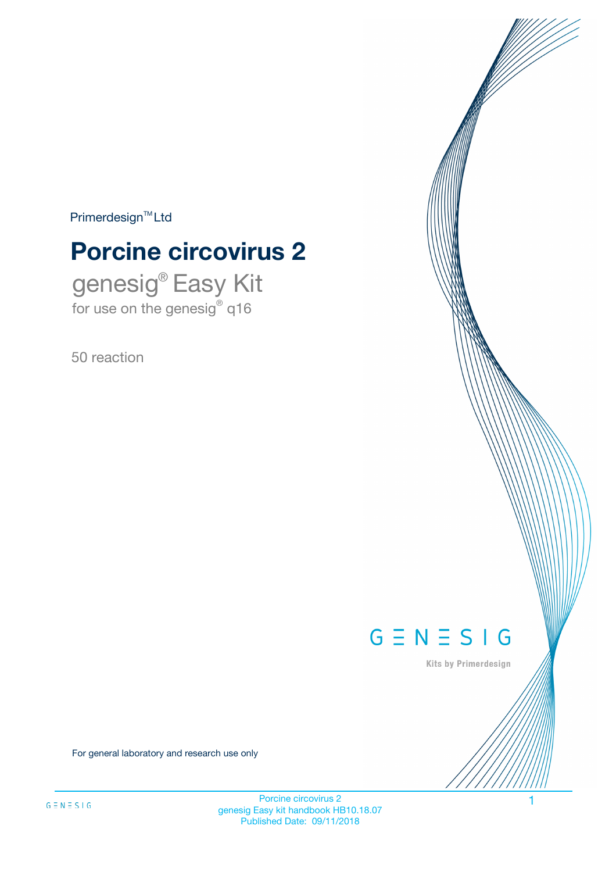$Primerdesign^{\text{TM}}Ltd$ 

# **Porcine circovirus 2**

genesig® Easy Kit for use on the genesig® q16

50 reaction



Kits by Primerdesign

For general laboratory and research use only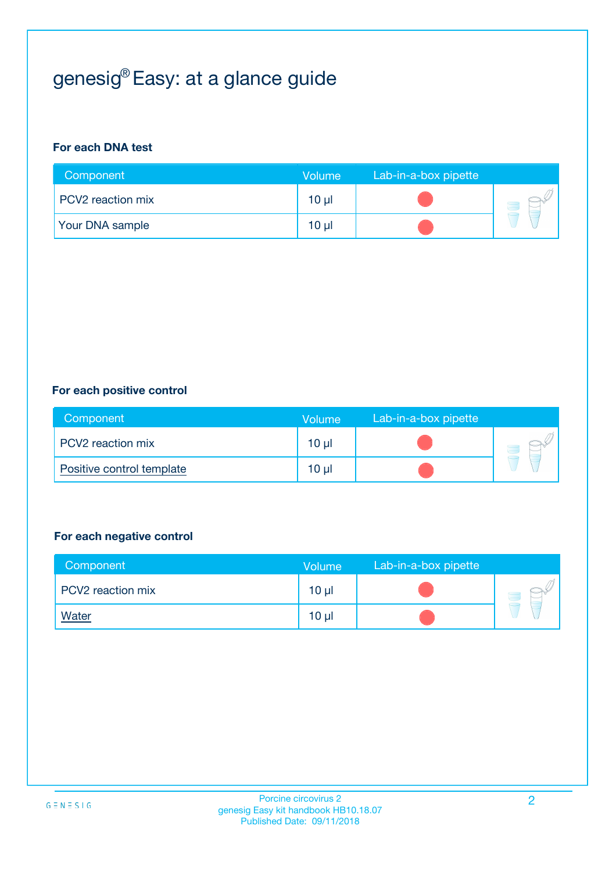# genesig® Easy: at a glance guide

#### **For each DNA test**

| Component              | <b>Volume</b>   | Lab-in-a-box pipette |  |
|------------------------|-----------------|----------------------|--|
| PCV2 reaction mix      | 10 µl           |                      |  |
| <b>Your DNA sample</b> | 10 <sub>µ</sub> |                      |  |

#### **For each positive control**

| Component                 | Volume          | Lab-in-a-box pipette |  |
|---------------------------|-----------------|----------------------|--|
| PCV2 reaction mix         | 10 <sub>µ</sub> |                      |  |
| Positive control template | $10 \mu$        |                      |  |

#### **For each negative control**

| Component         | <b>Volume</b>   | Lab-in-a-box pipette |  |
|-------------------|-----------------|----------------------|--|
| PCV2 reaction mix | 10 <sub>µ</sub> |                      |  |
| <u>Water</u>      | 10 <sub>µ</sub> |                      |  |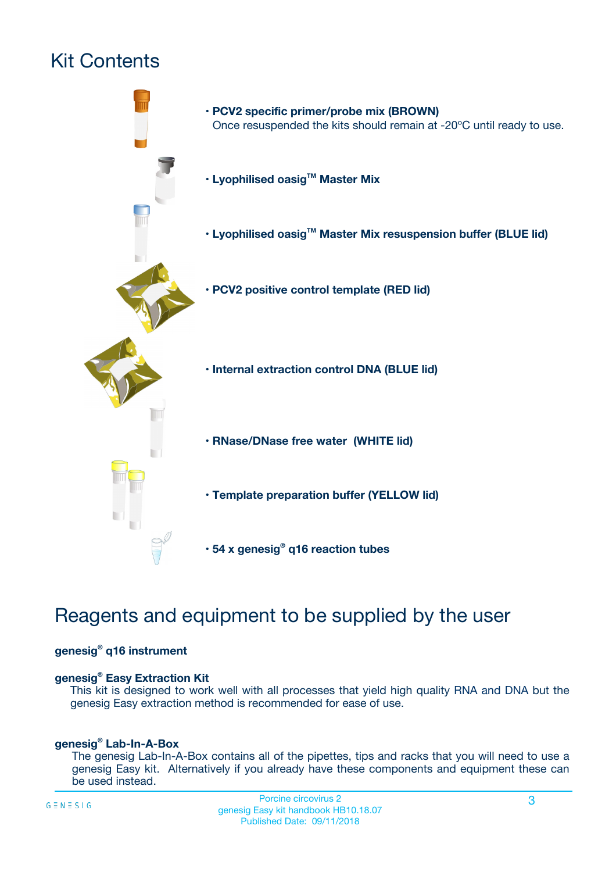# Kit Contents



# Reagents and equipment to be supplied by the user

#### **genesig® q16 instrument**

#### **genesig® Easy Extraction Kit**

This kit is designed to work well with all processes that yield high quality RNA and DNA but the genesig Easy extraction method is recommended for ease of use.

#### **genesig® Lab-In-A-Box**

The genesig Lab-In-A-Box contains all of the pipettes, tips and racks that you will need to use a genesig Easy kit. Alternatively if you already have these components and equipment these can be used instead.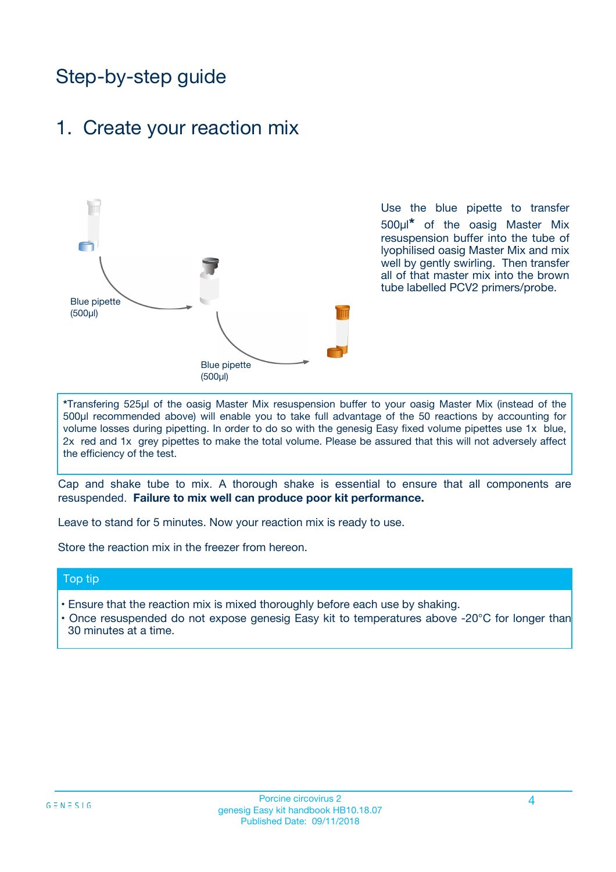# Step-by-step guide

### 1. Create your reaction mix



Use the blue pipette to transfer 500µl**\*** of the oasig Master Mix resuspension buffer into the tube of lyophilised oasig Master Mix and mix well by gently swirling. Then transfer all of that master mix into the brown tube labelled PCV2 primers/probe.

**\***Transfering 525µl of the oasig Master Mix resuspension buffer to your oasig Master Mix (instead of the 500µl recommended above) will enable you to take full advantage of the 50 reactions by accounting for volume losses during pipetting. In order to do so with the genesig Easy fixed volume pipettes use 1x blue, 2x red and 1x grey pipettes to make the total volume. Please be assured that this will not adversely affect the efficiency of the test.

Cap and shake tube to mix. A thorough shake is essential to ensure that all components are resuspended. **Failure to mix well can produce poor kit performance.**

Leave to stand for 5 minutes. Now your reaction mix is ready to use.

Store the reaction mix in the freezer from hereon.

#### Top tip

- Ensure that the reaction mix is mixed thoroughly before each use by shaking.
- **•** Once resuspended do not expose genesig Easy kit to temperatures above -20°C for longer than 30 minutes at a time.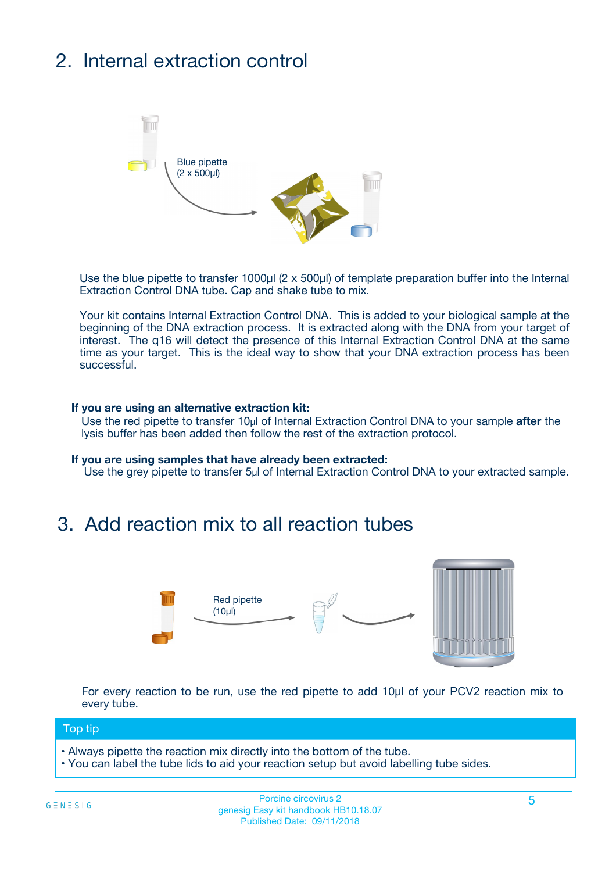# 2. Internal extraction control



Use the blue pipette to transfer 1000µl (2 x 500µl) of template preparation buffer into the Internal Extraction Control DNA tube. Cap and shake tube to mix.

Your kit contains Internal Extraction Control DNA. This is added to your biological sample at the beginning of the DNA extraction process. It is extracted along with the DNA from your target of interest. The q16 will detect the presence of this Internal Extraction Control DNA at the same time as your target. This is the ideal way to show that your DNA extraction process has been **successful.** 

#### **If you are using an alternative extraction kit:**

Use the red pipette to transfer 10µl of Internal Extraction Control DNA to your sample **after** the lysis buffer has been added then follow the rest of the extraction protocol.

#### **If you are using samples that have already been extracted:**

Use the grey pipette to transfer 5µl of Internal Extraction Control DNA to your extracted sample.

## 3. Add reaction mix to all reaction tubes



For every reaction to be run, use the red pipette to add 10µl of your PCV2 reaction mix to every tube.

#### Top tip

- Always pipette the reaction mix directly into the bottom of the tube.
- You can label the tube lids to aid your reaction setup but avoid labelling tube sides.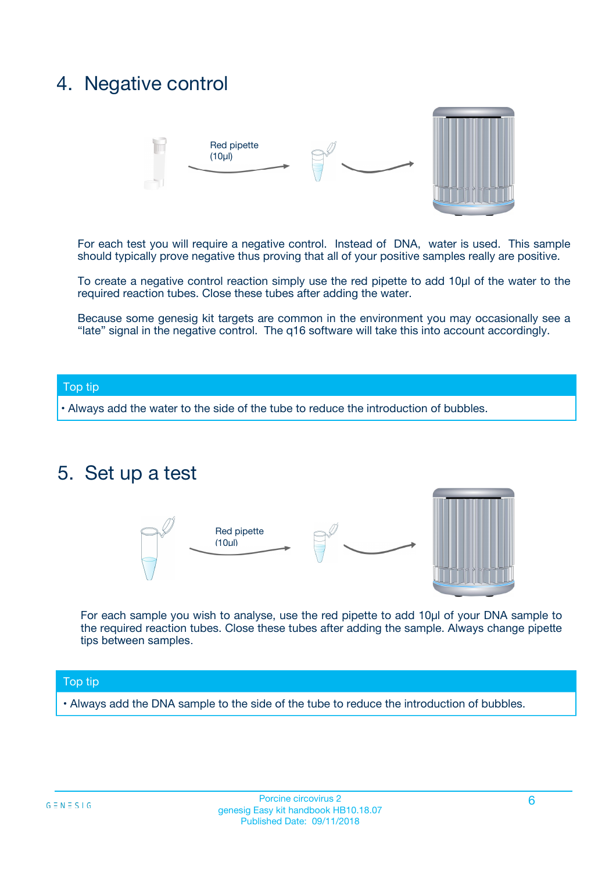## 4. Negative control



For each test you will require a negative control. Instead of DNA, water is used. This sample should typically prove negative thus proving that all of your positive samples really are positive.

To create a negative control reaction simply use the red pipette to add 10µl of the water to the required reaction tubes. Close these tubes after adding the water.

Because some genesig kit targets are common in the environment you may occasionally see a "late" signal in the negative control. The q16 software will take this into account accordingly.

#### Top tip

**•** Always add the water to the side of the tube to reduce the introduction of bubbles.

### 5. Set up a test



For each sample you wish to analyse, use the red pipette to add 10µl of your DNA sample to the required reaction tubes. Close these tubes after adding the sample. Always change pipette tips between samples.

#### Top tip

**•** Always add the DNA sample to the side of the tube to reduce the introduction of bubbles.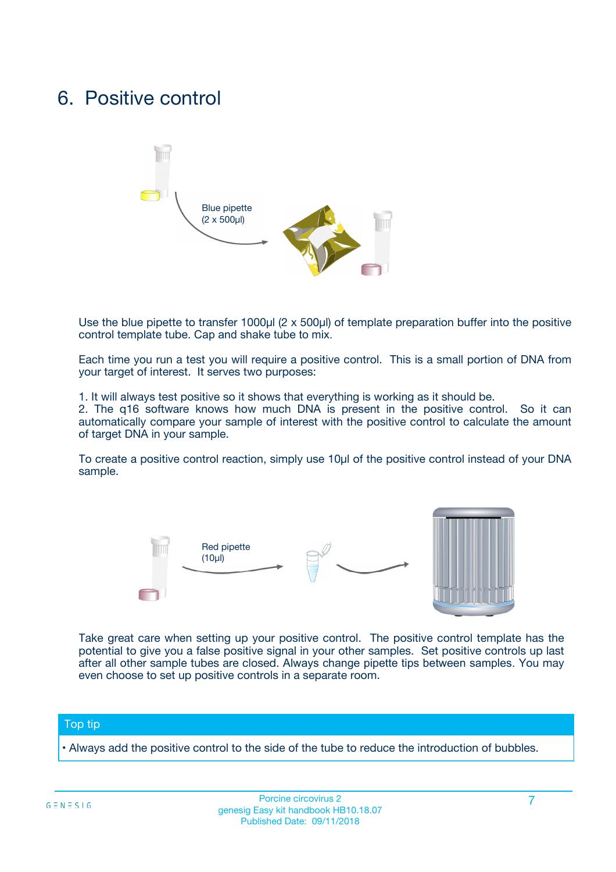## 6. Positive control



Use the blue pipette to transfer 1000µl (2 x 500µl) of template preparation buffer into the positive control template tube. Cap and shake tube to mix.

Each time you run a test you will require a positive control. This is a small portion of DNA from your target of interest. It serves two purposes:

1. It will always test positive so it shows that everything is working as it should be.

2. The q16 software knows how much DNA is present in the positive control. So it can automatically compare your sample of interest with the positive control to calculate the amount of target DNA in your sample.

To create a positive control reaction, simply use 10µl of the positive control instead of your DNA sample.



Take great care when setting up your positive control. The positive control template has the potential to give you a false positive signal in your other samples. Set positive controls up last after all other sample tubes are closed. Always change pipette tips between samples. You may even choose to set up positive controls in a separate room.

#### Top tip

**•** Always add the positive control to the side of the tube to reduce the introduction of bubbles.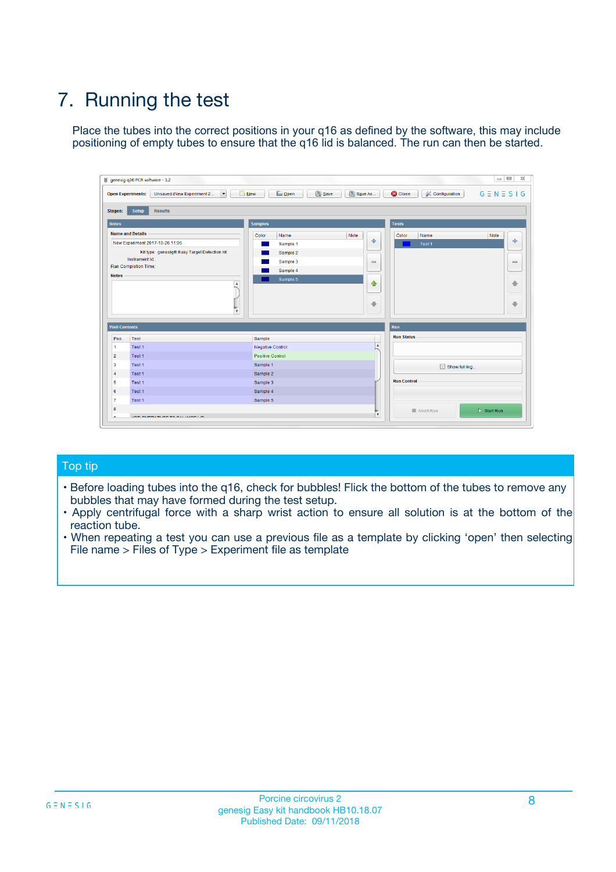# 7. Running the test

Place the tubes into the correct positions in your q16 as defined by the software, this may include positioning of empty tubes to ensure that the q16 lid is balanced. The run can then be started.

| genesig q16 PCR software - 1.2                                               |                                     | $\Box$                                                                                  |
|------------------------------------------------------------------------------|-------------------------------------|-----------------------------------------------------------------------------------------|
| Unsaved (New Experiment 2<br>$\vert \cdot \vert$<br><b>Open Experiments:</b> | <b>D</b> Open<br>Save<br>$\Box$ New | Save As<br><b>C</b> Close<br>$G \equiv N \equiv S \mid G$<br><b>&amp; Configuration</b> |
| Setup<br><b>Results</b><br><b>Stages:</b>                                    |                                     |                                                                                         |
| <b>Notes</b>                                                                 | Samples                             | <b>Tests</b>                                                                            |
| <b>Name and Details</b>                                                      | Color<br>Name                       | Note<br>Color<br>Note<br>Name                                                           |
| New Experiment 2017-10-26 11:06                                              | Sample 1                            | 条<br>علي<br>Test 1                                                                      |
| Kit type: genesig® Easy Target Detection kit                                 | Sample 2                            |                                                                                         |
| Instrument Id.:                                                              | Sample 3                            | $\qquad \qquad \blacksquare$<br>$\qquad \qquad \blacksquare$                            |
| Run Completion Time:                                                         | Sample 4                            |                                                                                         |
| <b>Notes</b>                                                                 | Sample 5<br>A<br>v                  | $\triangle$<br>4<br>$\oplus$<br>₩                                                       |
| <b>Well Contents</b>                                                         |                                     | <b>Run</b>                                                                              |
| Pos.<br>Test                                                                 | Sample                              | <b>Run Status</b>                                                                       |
| Test 1<br>-1                                                                 | <b>Negative Control</b>             | $\blacktriangle$                                                                        |
| $\overline{2}$<br>Test 1                                                     | <b>Positive Control</b>             |                                                                                         |
| $\overline{\mathbf{3}}$<br>Test 1                                            | Sample 1                            | Show full log                                                                           |
| Test 1<br>$\overline{4}$                                                     | Sample 2                            |                                                                                         |
| 5<br>Test 1                                                                  | Sample 3                            | <b>Run Control</b>                                                                      |
| 6<br>Test 1                                                                  | Sample 4                            |                                                                                         |
| $\overline{7}$<br>Test 1                                                     | Sample 5                            |                                                                                         |
| 8                                                                            |                                     | $\triangleright$ Start Run<br>Abort Run                                                 |
| <b>JOD FURTY TUDE TO BUILDED IN</b>                                          |                                     | $\overline{\mathbf{v}}$                                                                 |

#### Top tip

- Before loading tubes into the q16, check for bubbles! Flick the bottom of the tubes to remove any bubbles that may have formed during the test setup.
- Apply centrifugal force with a sharp wrist action to ensure all solution is at the bottom of the reaction tube.
- When repeating a test you can use a previous file as a template by clicking 'open' then selecting File name > Files of Type > Experiment file as template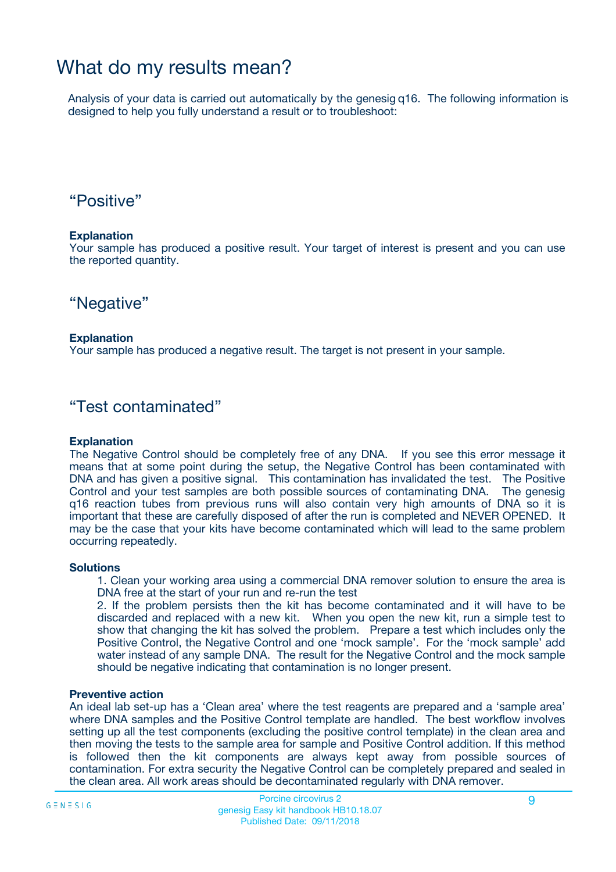## What do my results mean?

Analysis of your data is carried out automatically by the genesig q16. The following information is designed to help you fully understand a result or to troubleshoot:

### "Positive"

#### **Explanation**

Your sample has produced a positive result. Your target of interest is present and you can use the reported quantity.

"Negative"

#### **Explanation**

Your sample has produced a negative result. The target is not present in your sample.

### "Test contaminated"

#### **Explanation**

The Negative Control should be completely free of any DNA. If you see this error message it means that at some point during the setup, the Negative Control has been contaminated with DNA and has given a positive signal. This contamination has invalidated the test. The Positive Control and your test samples are both possible sources of contaminating DNA. The genesig q16 reaction tubes from previous runs will also contain very high amounts of DNA so it is important that these are carefully disposed of after the run is completed and NEVER OPENED. It may be the case that your kits have become contaminated which will lead to the same problem occurring repeatedly.

#### **Solutions**

1. Clean your working area using a commercial DNA remover solution to ensure the area is DNA free at the start of your run and re-run the test

2. If the problem persists then the kit has become contaminated and it will have to be discarded and replaced with a new kit. When you open the new kit, run a simple test to show that changing the kit has solved the problem. Prepare a test which includes only the Positive Control, the Negative Control and one 'mock sample'. For the 'mock sample' add water instead of any sample DNA. The result for the Negative Control and the mock sample should be negative indicating that contamination is no longer present.

#### **Preventive action**

An ideal lab set-up has a 'Clean area' where the test reagents are prepared and a 'sample area' where DNA samples and the Positive Control template are handled. The best workflow involves setting up all the test components (excluding the positive control template) in the clean area and then moving the tests to the sample area for sample and Positive Control addition. If this method is followed then the kit components are always kept away from possible sources of contamination. For extra security the Negative Control can be completely prepared and sealed in the clean area. All work areas should be decontaminated regularly with DNA remover.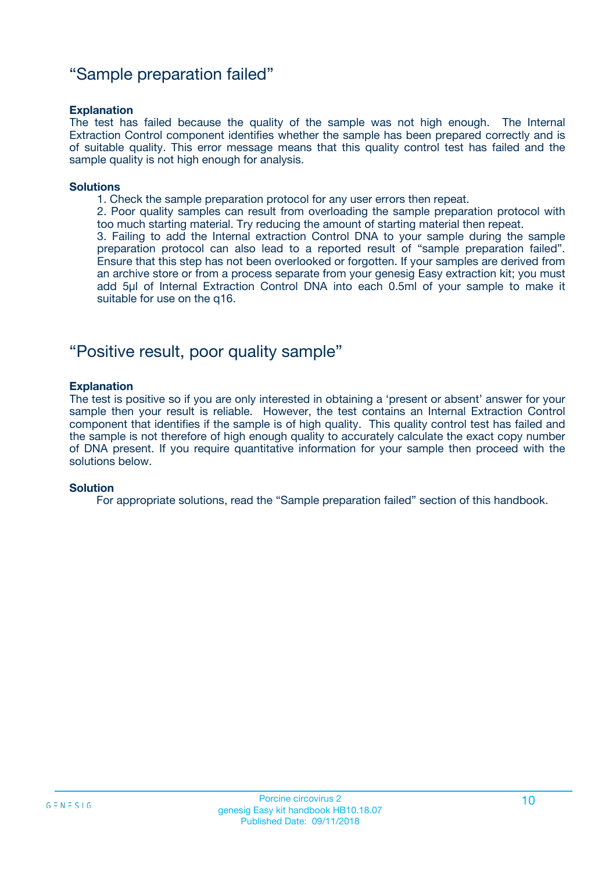### "Sample preparation failed"

#### **Explanation**

The test has failed because the quality of the sample was not high enough. The Internal Extraction Control component identifies whether the sample has been prepared correctly and is of suitable quality. This error message means that this quality control test has failed and the sample quality is not high enough for analysis.

#### **Solutions**

1. Check the sample preparation protocol for any user errors then repeat.

2. Poor quality samples can result from overloading the sample preparation protocol with too much starting material. Try reducing the amount of starting material then repeat.

3. Failing to add the Internal extraction Control DNA to your sample during the sample preparation protocol can also lead to a reported result of "sample preparation failed". Ensure that this step has not been overlooked or forgotten. If your samples are derived from an archive store or from a process separate from your genesig Easy extraction kit; you must add 5µl of Internal Extraction Control DNA into each 0.5ml of your sample to make it suitable for use on the q16.

### "Positive result, poor quality sample"

#### **Explanation**

The test is positive so if you are only interested in obtaining a 'present or absent' answer for your sample then your result is reliable. However, the test contains an Internal Extraction Control component that identifies if the sample is of high quality. This quality control test has failed and the sample is not therefore of high enough quality to accurately calculate the exact copy number of DNA present. If you require quantitative information for your sample then proceed with the solutions below.

#### **Solution**

For appropriate solutions, read the "Sample preparation failed" section of this handbook.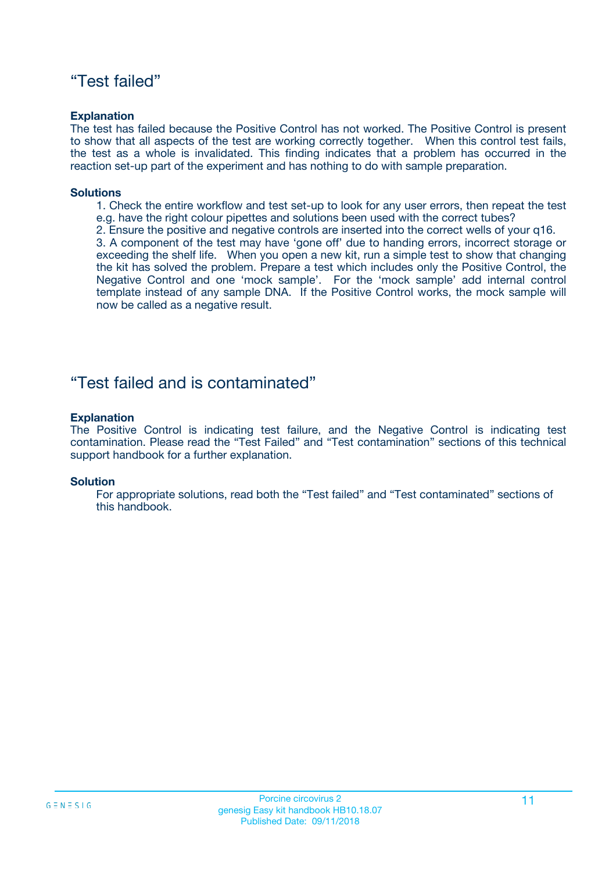### "Test failed"

#### **Explanation**

The test has failed because the Positive Control has not worked. The Positive Control is present to show that all aspects of the test are working correctly together. When this control test fails, the test as a whole is invalidated. This finding indicates that a problem has occurred in the reaction set-up part of the experiment and has nothing to do with sample preparation.

#### **Solutions**

- 1. Check the entire workflow and test set-up to look for any user errors, then repeat the test e.g. have the right colour pipettes and solutions been used with the correct tubes?
- 2. Ensure the positive and negative controls are inserted into the correct wells of your q16.

3. A component of the test may have 'gone off' due to handing errors, incorrect storage or exceeding the shelf life. When you open a new kit, run a simple test to show that changing the kit has solved the problem. Prepare a test which includes only the Positive Control, the Negative Control and one 'mock sample'. For the 'mock sample' add internal control template instead of any sample DNA. If the Positive Control works, the mock sample will now be called as a negative result.

### "Test failed and is contaminated"

#### **Explanation**

The Positive Control is indicating test failure, and the Negative Control is indicating test contamination. Please read the "Test Failed" and "Test contamination" sections of this technical support handbook for a further explanation.

#### **Solution**

For appropriate solutions, read both the "Test failed" and "Test contaminated" sections of this handbook.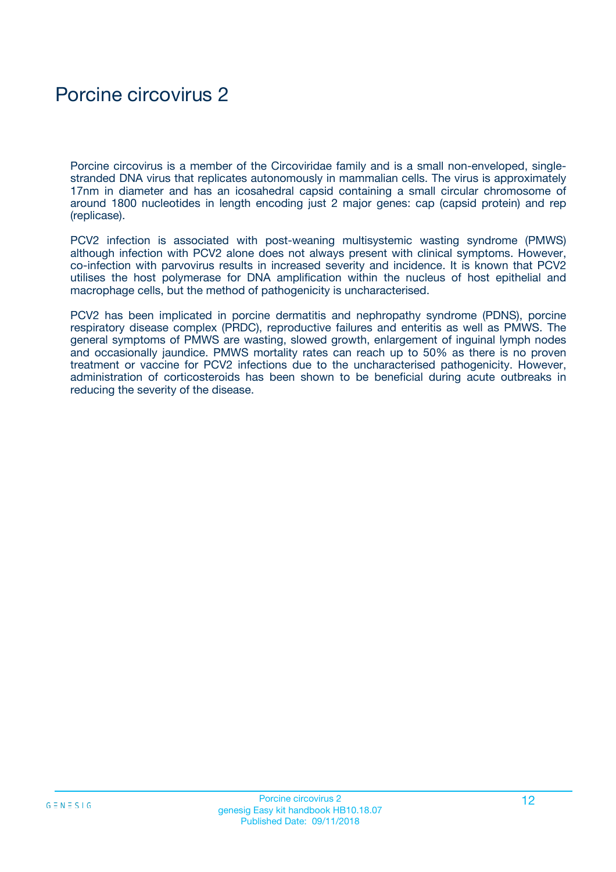# Porcine circovirus 2

Porcine circovirus is a member of the Circoviridae family and is a small non-enveloped, singlestranded DNA virus that replicates autonomously in mammalian cells. The virus is approximately 17nm in diameter and has an icosahedral capsid containing a small circular chromosome of around 1800 nucleotides in length encoding just 2 major genes: cap (capsid protein) and rep (replicase).

PCV2 infection is associated with post-weaning multisystemic wasting syndrome (PMWS) although infection with PCV2 alone does not always present with clinical symptoms. However, co-infection with parvovirus results in increased severity and incidence. It is known that PCV2 utilises the host polymerase for DNA amplification within the nucleus of host epithelial and macrophage cells, but the method of pathogenicity is uncharacterised.

PCV2 has been implicated in porcine dermatitis and nephropathy syndrome (PDNS), porcine respiratory disease complex (PRDC), reproductive failures and enteritis as well as PMWS. The general symptoms of PMWS are wasting, slowed growth, enlargement of inguinal lymph nodes and occasionally jaundice. PMWS mortality rates can reach up to 50% as there is no proven treatment or vaccine for PCV2 infections due to the uncharacterised pathogenicity. However, administration of corticosteroids has been shown to be beneficial during acute outbreaks in reducing the severity of the disease.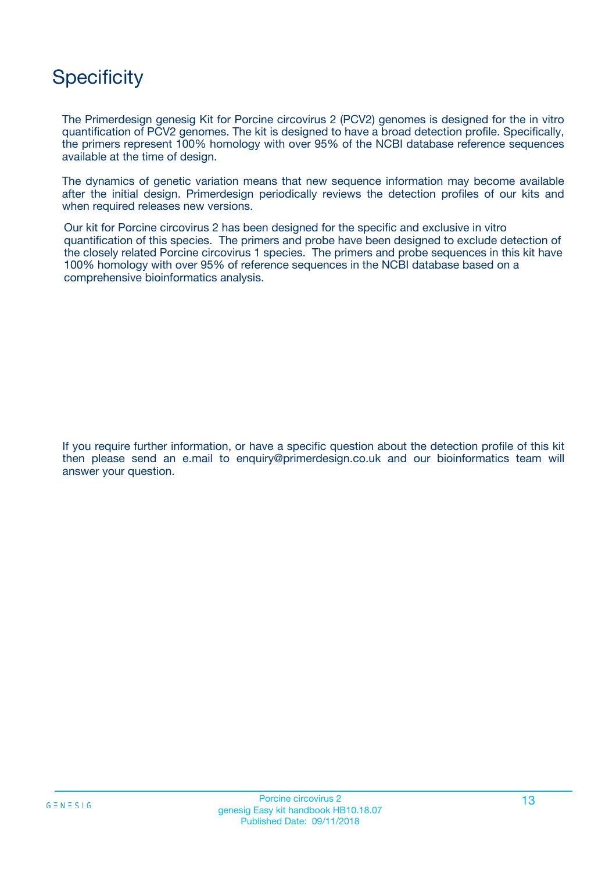# **Specificity**

The Primerdesign genesig Kit for Porcine circovirus 2 (PCV2) genomes is designed for the in vitro quantification of PCV2 genomes. The kit is designed to have a broad detection profile. Specifically, the primers represent 100% homology with over 95% of the NCBI database reference sequences available at the time of design.

The dynamics of genetic variation means that new sequence information may become available after the initial design. Primerdesign periodically reviews the detection profiles of our kits and when required releases new versions.

Our kit for Porcine circovirus 2 has been designed for the specific and exclusive in vitro quantification of this species. The primers and probe have been designed to exclude detection of the closely related Porcine circovirus 1 species. The primers and probe sequences in this kit have 100% homology with over 95% of reference sequences in the NCBI database based on a comprehensive bioinformatics analysis.

If you require further information, or have a specific question about the detection profile of this kit then please send an e.mail to enquiry@primerdesign.co.uk and our bioinformatics team will answer your question.